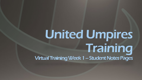# United Umpires Training Virtual Training Week 1 –Student Notes Pages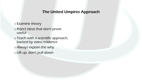## The United Umpires Approach

o Examine theory

o Reject ideas that don't prove useful

o Teach with a scientific approach, backed by video evidence

oAlways explain the why

o Lift up, don't pull down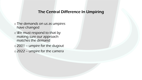## The Central Difference In Umpiring

- o The demands on us as umpires have changed
- oWe must respond to that by making sure our approach matches the demand
- o 2001 umpire for the dugout
- o 2022 umpire for the camera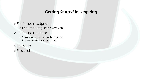# Getting Started In Umpiring

o Find a local assignor o Use a local league to direct you o Find a local mentor o Someone who has achieved an intermediate goal of yours o Uniforms o Practice!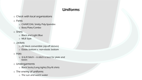# Uniforms

o Check with local organizations

o Pants

- o CHARCOAL Smitty Poly-Spandex
- o Base/Plate/Combo

o Shirts

- o Black and Light Blue
- o MLB Style
- o Jackets
	- o All black convertible (zip-off sleeves)
	- o Elastic bottom v. non-elastic bottom

o Hats

- $\circ$  4/6/8 Stitch 6 stitch is best for plate and bases
- o Undergarments
	- o Black Socks/Long tights/Dry-fit shirts
- o The enemy of uniforms
	- o The sun and warm water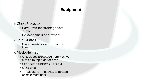# Equipment

## oChest Protector

- o Hard Plastic for anything above 70mph
- o Flexible harness helps with fit
- o Shin Guards
	- o Length matters ankle to above knee

# o Mask/Helmet

- o Only added protection from HSM vs mask is to top/sides of head
- o Concussion concerns Force3
- o Mask strap
- o Throat guard attached to bottom of main mask bars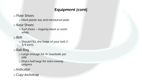# Equipment (cont)

## o Plate Shoes

o Hard plastic toe and metatarsal plate

# oBase Shoes

o Turf shoes – majority black w some white

## oBelt

o Should FILL the loops of your belt (1 3/4 inch)

# oBall Bag

- o Large enough for 4+ baseballs per side
- o DryLo ball bags for extra sweaty umpires

## o Indicator

oCup/Jockstrap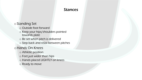## Stances

## o Standing Set

- o Outside foot forward
- o Keep your hips/shoulders pointed towards plate
- o Be set when pitch is delivered
- o Step back and relax between pitches

## o Hands On Knees

- o Athletic position
- o Feet just wider than hips
- o Hands placed LIGHTLY on knees
- o Ready to move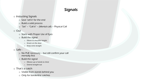#### o Instucting Signals

- o Save 'sell it' for the end
- o Build a solid process
- o "Set" "Call it" (Mental call) Physical Call

#### o Out

- o Starts with Proper Use of Eyes
- o Build the signal
	- o Elbow to shoulder height
	- o Knock on the door
	- o Keep wrist straight

#### o Safe -

- o No PUE necessary but still confirm your call mentally first
- o Build the signal
	- o Elbows up w hands to chest
	- o Extend straight out

#### o That's a catch

- o Visible from stands behind you
- o Only for borderline catches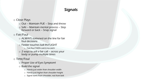#### o Close Plays

- $\circ$  Out Maintain PUE Step and throw
- o Safe Maintain mental process Step forward or back – Snap signal

o Fair/Foul

- o ALWAYS stationed on the line for fair foul decisions
- o Fielder touches ball IN-FLIGHT
	- o Fair/foul THEN catch/no-catch
- o 2 ways to sell a fair call across your body or pump multiple times

o Time/Foul

- o Proper Use of Eyes Symptom!
- o Build the signal
	- o Hands just wider than shoulder width
	- o Hands just higher than shoulder height
	- o Signal starts from shoulder, not from belt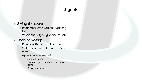## o Giving the count

- o Remember who you are signaling for
- o When should you give the count?

## oChecked Swings

- $\circ$  Point with batter side arm "Yes!"
- $\circ$  Strike normal strike call "They went"
- o Appeals ensure clarity
	- o Step out to side
	- o Ask with open hand and use partner's name
	- o Keep your mask on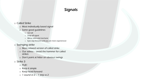#### o Called Strike

- o Most individually based signal
- o Some good guidelines
	- o Get tall
	- o Snap off signal
	- o Mirror voice and mechanic
	- o Eyes stay forward until you are more experienced

#### o Swinging strike

- o More relaxed version of called strike
- $\circ$  Our advice avoid the hammer for called strikes
- o Don't point at hitter on obvious swings
- o Strike 3
	- o PUE!
	- o Keep it simple
	- o Keep head forward
	- $\circ$  1 sound vs 2 1 step vs 2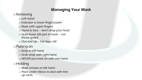# Managing Your Mask

## o Removing

- o Left Hand
- o Indicator w lower fingers/palm
- o Mask with upper fingers
- o Hand to face don't drop your head
- o Grab lower left part of mask not throat guard
- o Out and Up hat stays still

## o Putting on

- o Keep in left hand
- o Grab strap with right hand
- o NEVER put mask on with one hand

# o Holding

- o Mask remains in left hand
- o Place under elbow to deal with lineup cards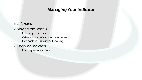# Managing Your Indicator

o Left Hand o Moving the wheels o Use fingers to move o Advance the wheels without looking o Get back to 0-0 without looking oChecking indicator o Hand goes up to face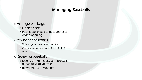# Managing Baseballs

## oArrange ball bags

- o On side of hip
- o Push loops of ball bags together to widen opening

## oAsking for baseballs

- o When you have 2 remaining
- o Ask for what you need to fill PLUS one

## o Receiving baseballs

o During an AB – Mask on – present hands close to your CP

o Between ABs – Mask off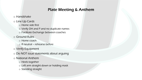# Plate Meeting & Anthem

- o Handshake
- o Line Up Cards
	- o Home side first o Verify DH and P and no duplicate names o Facilitate Exchange between coaches
- o Ground Rules
	- o Home coach
	- o If neutral rehearse before
- o Verify Equipment
- o Do NOT issue statements about arguing
- o National Anthem
	- o Heels together
	- o Left arm straight down or holding mask
	- o Standing straight